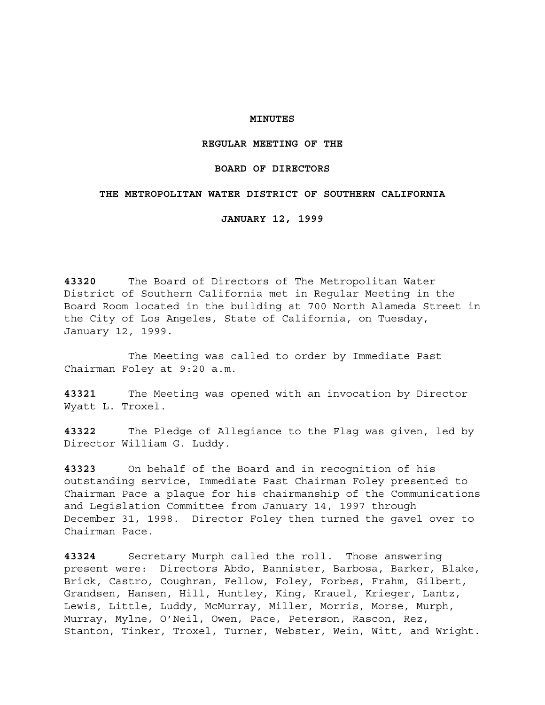# **MINUTES**

## **REGULAR MEETING OF THE**

## **BOARD OF DIRECTORS**

# **THE METROPOLITAN WATER DISTRICT OF SOUTHERN CALIFORNIA**

**JANUARY 12, 1999**

**43320** The Board of Directors of The Metropolitan Water District of Southern California met in Regular Meeting in the Board Room located in the building at 700 North Alameda Street in the City of Los Angeles, State of California, on Tuesday, January 12, 1999.

The Meeting was called to order by Immediate Past Chairman Foley at 9:20 a.m.

**43321** The Meeting was opened with an invocation by Director Wyatt L. Troxel.

**43322** The Pledge of Allegiance to the Flag was given, led by Director William G. Luddy.

**43323** On behalf of the Board and in recognition of his outstanding service, Immediate Past Chairman Foley presented to Chairman Pace a plaque for his chairmanship of the Communications and Legislation Committee from January 14, 1997 through December 31, 1998. Director Foley then turned the gavel over to Chairman Pace.

**43324** Secretary Murph called the roll. Those answering present were: Directors Abdo, Bannister, Barbosa, Barker, Blake, Brick, Castro, Coughran, Fellow, Foley, Forbes, Frahm, Gilbert, Grandsen, Hansen, Hill, Huntley, King, Krauel, Krieger, Lantz, Lewis, Little, Luddy, McMurray, Miller, Morris, Morse, Murph, Murray, Mylne, O'Neil, Owen, Pace, Peterson, Rascon, Rez, Stanton, Tinker, Troxel, Turner, Webster, Wein, Witt, and Wright.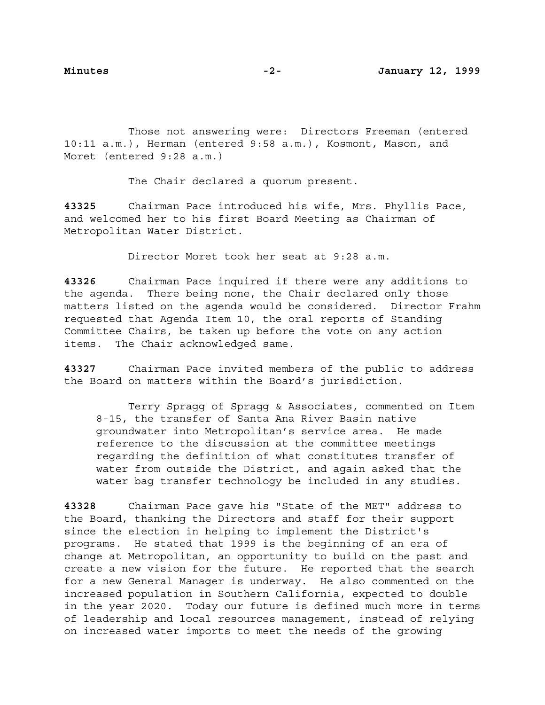Those not answering were: Directors Freeman (entered 10:11 a.m.), Herman (entered 9:58 a.m.), Kosmont, Mason, and Moret (entered 9:28 a.m.)

The Chair declared a quorum present.

**43325** Chairman Pace introduced his wife, Mrs. Phyllis Pace, and welcomed her to his first Board Meeting as Chairman of Metropolitan Water District.

Director Moret took her seat at 9:28 a.m.

**43326** Chairman Pace inquired if there were any additions to the agenda. There being none, the Chair declared only those matters listed on the agenda would be considered. Director Frahm requested that Agenda Item 10, the oral reports of Standing Committee Chairs, be taken up before the vote on any action items. The Chair acknowledged same.

**43327** Chairman Pace invited members of the public to address the Board on matters within the Board's jurisdiction.

Terry Spragg of Spragg & Associates, commented on Item 8-15, the transfer of Santa Ana River Basin native groundwater into Metropolitan's service area. He made reference to the discussion at the committee meetings regarding the definition of what constitutes transfer of water from outside the District, and again asked that the water bag transfer technology be included in any studies.

**43328** Chairman Pace gave his "State of the MET" address to the Board, thanking the Directors and staff for their support since the election in helping to implement the District's programs. He stated that 1999 is the beginning of an era of change at Metropolitan, an opportunity to build on the past and create a new vision for the future. He reported that the search for a new General Manager is underway. He also commented on the increased population in Southern California, expected to double in the year 2020. Today our future is defined much more in terms of leadership and local resources management, instead of relying on increased water imports to meet the needs of the growing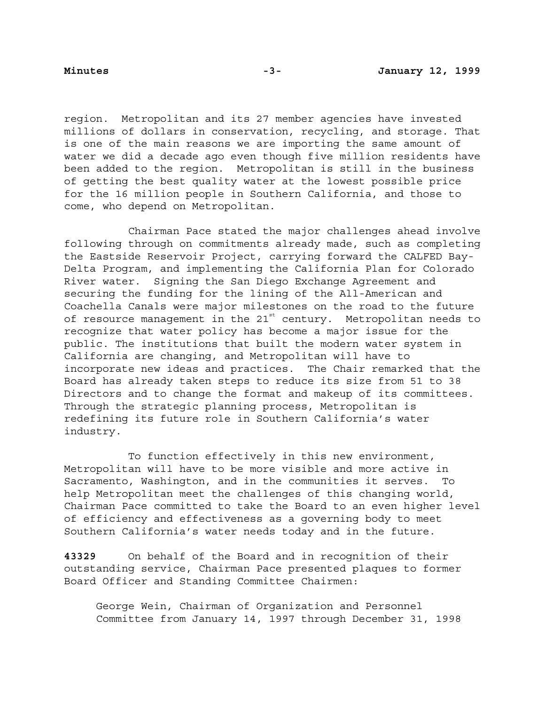region. Metropolitan and its 27 member agencies have invested millions of dollars in conservation, recycling, and storage. That is one of the main reasons we are importing the same amount of water we did a decade ago even though five million residents have been added to the region. Metropolitan is still in the business of getting the best quality water at the lowest possible price for the 16 million people in Southern California, and those to come, who depend on Metropolitan.

Chairman Pace stated the major challenges ahead involve following through on commitments already made, such as completing the Eastside Reservoir Project, carrying forward the CALFED Bay-Delta Program, and implementing the California Plan for Colorado River water. Signing the San Diego Exchange Agreement and securing the funding for the lining of the All-American and Coachella Canals were major milestones on the road to the future of resource management in the  $21^{st}$  century. Metropolitan needs to recognize that water policy has become a major issue for the public. The institutions that built the modern water system in California are changing, and Metropolitan will have to incorporate new ideas and practices. The Chair remarked that the Board has already taken steps to reduce its size from 51 to 38 Directors and to change the format and makeup of its committees. Through the strategic planning process, Metropolitan is redefining its future role in Southern California's water industry.

To function effectively in this new environment, Metropolitan will have to be more visible and more active in Sacramento, Washington, and in the communities it serves. To help Metropolitan meet the challenges of this changing world, Chairman Pace committed to take the Board to an even higher level of efficiency and effectiveness as a governing body to meet Southern California's water needs today and in the future.

**43329** On behalf of the Board and in recognition of their outstanding service, Chairman Pace presented plaques to former Board Officer and Standing Committee Chairmen:

George Wein, Chairman of Organization and Personnel Committee from January 14, 1997 through December 31, 1998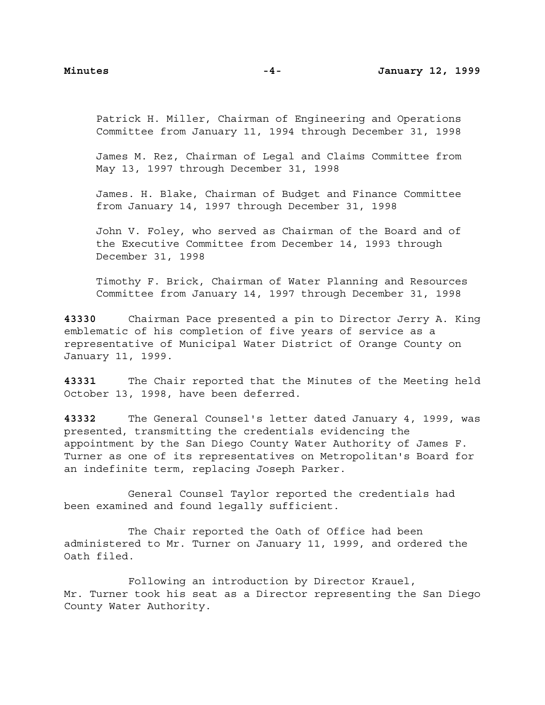Patrick H. Miller, Chairman of Engineering and Operations Committee from January 11, 1994 through December 31, 1998

James M. Rez, Chairman of Legal and Claims Committee from May 13, 1997 through December 31, 1998

James. H. Blake, Chairman of Budget and Finance Committee from January 14, 1997 through December 31, 1998

John V. Foley, who served as Chairman of the Board and of the Executive Committee from December 14, 1993 through December 31, 1998

Timothy F. Brick, Chairman of Water Planning and Resources Committee from January 14, 1997 through December 31, 1998

**43330** Chairman Pace presented a pin to Director Jerry A. King emblematic of his completion of five years of service as a representative of Municipal Water District of Orange County on January 11, 1999.

**43331** The Chair reported that the Minutes of the Meeting held October 13, 1998, have been deferred.

**43332** The General Counsel's letter dated January 4, 1999, was presented, transmitting the credentials evidencing the appointment by the San Diego County Water Authority of James F. Turner as one of its representatives on Metropolitan's Board for an indefinite term, replacing Joseph Parker.

General Counsel Taylor reported the credentials had been examined and found legally sufficient.

The Chair reported the Oath of Office had been administered to Mr. Turner on January 11, 1999, and ordered the Oath filed.

Following an introduction by Director Krauel, Mr. Turner took his seat as a Director representing the San Diego County Water Authority.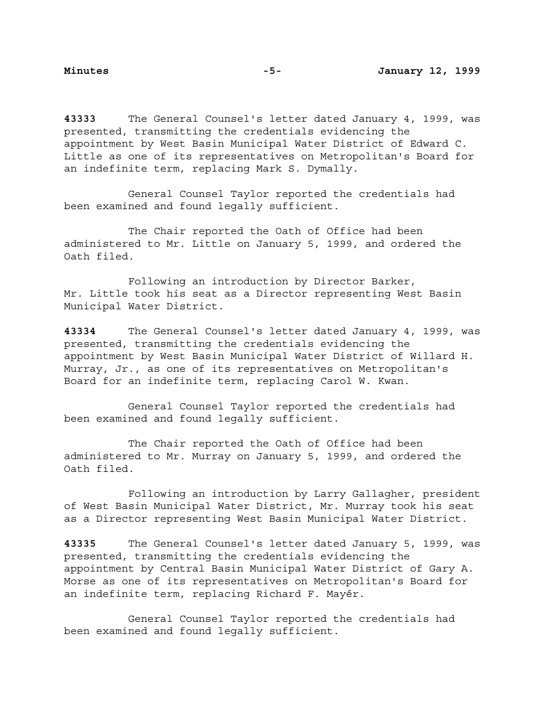**43333** The General Counsel's letter dated January 4, 1999, was presented, transmitting the credentials evidencing the appointment by West Basin Municipal Water District of Edward C. Little as one of its representatives on Metropolitan's Board for an indefinite term, replacing Mark S. Dymally.

General Counsel Taylor reported the credentials had been examined and found legally sufficient.

The Chair reported the Oath of Office had been administered to Mr. Little on January 5, 1999, and ordered the Oath filed.

Following an introduction by Director Barker, Mr. Little took his seat as a Director representing West Basin Municipal Water District.

**43334** The General Counsel's letter dated January 4, 1999, was presented, transmitting the credentials evidencing the appointment by West Basin Municipal Water District of Willard H. Murray, Jr., as one of its representatives on Metropolitan's Board for an indefinite term, replacing Carol W. Kwan.

General Counsel Taylor reported the credentials had been examined and found legally sufficient.

The Chair reported the Oath of Office had been administered to Mr. Murray on January 5, 1999, and ordered the Oath filed.

Following an introduction by Larry Gallagher, president of West Basin Municipal Water District, Mr. Murray took his seat as a Director representing West Basin Municipal Water District.

**43335** The General Counsel's letter dated January 5, 1999, was presented, transmitting the credentials evidencing the appointment by Central Basin Municipal Water District of Gary A. Morse as one of its representatives on Metropolitan's Board for an indefinite term, replacing Richard F. Mayér.

General Counsel Taylor reported the credentials had been examined and found legally sufficient.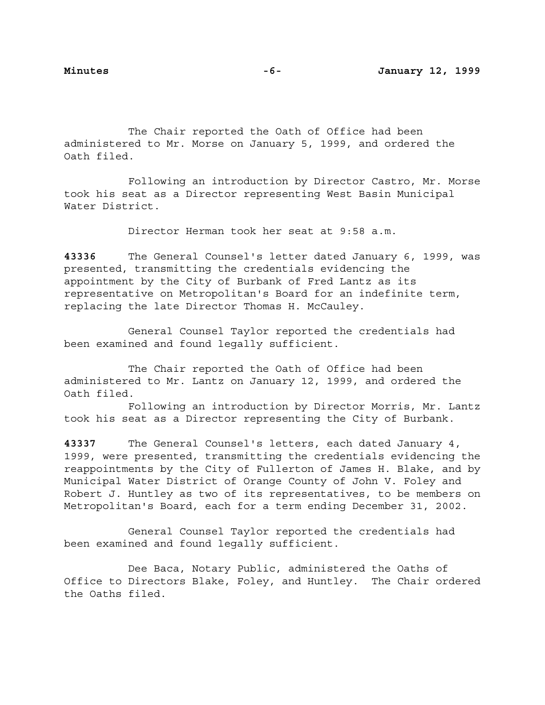The Chair reported the Oath of Office had been administered to Mr. Morse on January 5, 1999, and ordered the Oath filed.

Following an introduction by Director Castro, Mr. Morse took his seat as a Director representing West Basin Municipal Water District.

Director Herman took her seat at 9:58 a.m.

**43336** The General Counsel's letter dated January 6, 1999, was presented, transmitting the credentials evidencing the appointment by the City of Burbank of Fred Lantz as its representative on Metropolitan's Board for an indefinite term, replacing the late Director Thomas H. McCauley.

General Counsel Taylor reported the credentials had been examined and found legally sufficient.

The Chair reported the Oath of Office had been administered to Mr. Lantz on January 12, 1999, and ordered the Oath filed.

Following an introduction by Director Morris, Mr. Lantz took his seat as a Director representing the City of Burbank.

**43337** The General Counsel's letters, each dated January 4, 1999, were presented, transmitting the credentials evidencing the reappointments by the City of Fullerton of James H. Blake, and by Municipal Water District of Orange County of John V. Foley and Robert J. Huntley as two of its representatives, to be members on Metropolitan's Board, each for a term ending December 31, 2002.

General Counsel Taylor reported the credentials had been examined and found legally sufficient.

Dee Baca, Notary Public, administered the Oaths of Office to Directors Blake, Foley, and Huntley. The Chair ordered the Oaths filed.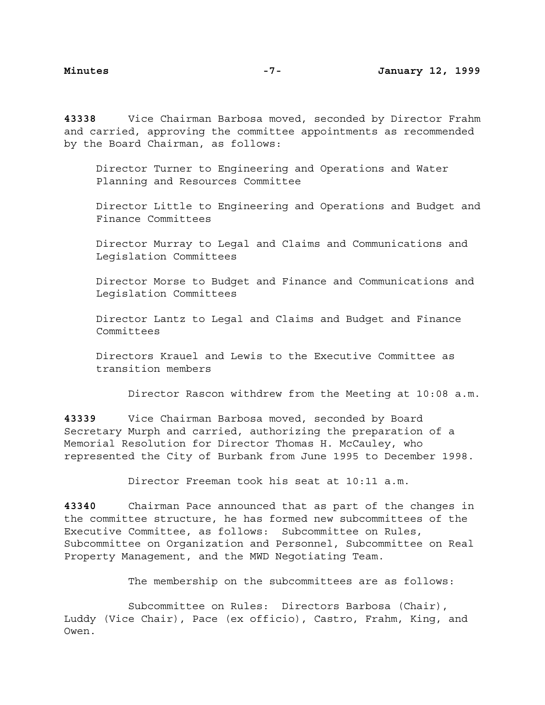**43338** Vice Chairman Barbosa moved, seconded by Director Frahm and carried, approving the committee appointments as recommended by the Board Chairman, as follows:

Director Turner to Engineering and Operations and Water Planning and Resources Committee

Director Little to Engineering and Operations and Budget and Finance Committees

Director Murray to Legal and Claims and Communications and Legislation Committees

Director Morse to Budget and Finance and Communications and Legislation Committees

Director Lantz to Legal and Claims and Budget and Finance Committees

Directors Krauel and Lewis to the Executive Committee as transition members

Director Rascon withdrew from the Meeting at 10:08 a.m.

**43339** Vice Chairman Barbosa moved, seconded by Board Secretary Murph and carried, authorizing the preparation of a Memorial Resolution for Director Thomas H. McCauley, who represented the City of Burbank from June 1995 to December 1998.

Director Freeman took his seat at 10:11 a.m.

**43340** Chairman Pace announced that as part of the changes in the committee structure, he has formed new subcommittees of the Executive Committee, as follows: Subcommittee on Rules, Subcommittee on Organization and Personnel, Subcommittee on Real Property Management, and the MWD Negotiating Team.

The membership on the subcommittees are as follows:

Subcommittee on Rules: Directors Barbosa (Chair), Luddy (Vice Chair), Pace (ex officio), Castro, Frahm, King, and Owen.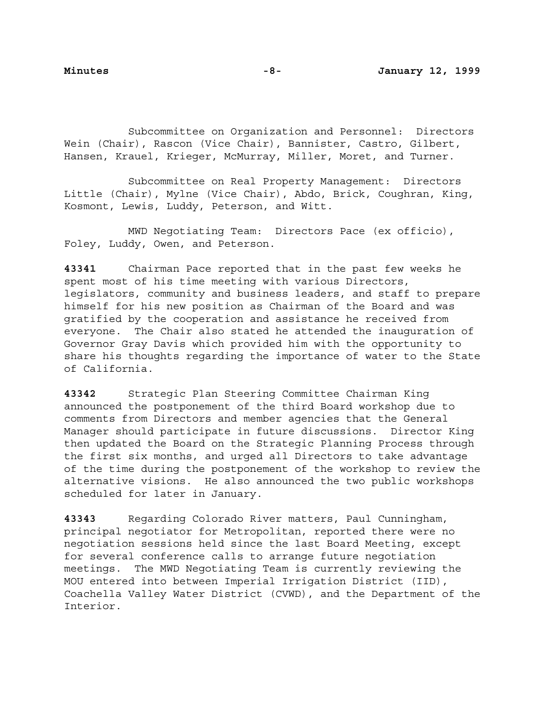Subcommittee on Organization and Personnel: Directors Wein (Chair), Rascon (Vice Chair), Bannister, Castro, Gilbert, Hansen, Krauel, Krieger, McMurray, Miller, Moret, and Turner.

Subcommittee on Real Property Management: Directors Little (Chair), Mylne (Vice Chair), Abdo, Brick, Coughran, King, Kosmont, Lewis, Luddy, Peterson, and Witt.

MWD Negotiating Team: Directors Pace (ex officio), Foley, Luddy, Owen, and Peterson.

**43341** Chairman Pace reported that in the past few weeks he spent most of his time meeting with various Directors, legislators, community and business leaders, and staff to prepare himself for his new position as Chairman of the Board and was gratified by the cooperation and assistance he received from everyone. The Chair also stated he attended the inauguration of Governor Gray Davis which provided him with the opportunity to share his thoughts regarding the importance of water to the State of California.

**43342** Strategic Plan Steering Committee Chairman King announced the postponement of the third Board workshop due to comments from Directors and member agencies that the General Manager should participate in future discussions. Director King then updated the Board on the Strategic Planning Process through the first six months, and urged all Directors to take advantage of the time during the postponement of the workshop to review the alternative visions. He also announced the two public workshops scheduled for later in January.

**43343** Regarding Colorado River matters, Paul Cunningham, principal negotiator for Metropolitan, reported there were no negotiation sessions held since the last Board Meeting, except for several conference calls to arrange future negotiation meetings. The MWD Negotiating Team is currently reviewing the MOU entered into between Imperial Irrigation District (IID), Coachella Valley Water District (CVWD), and the Department of the Interior.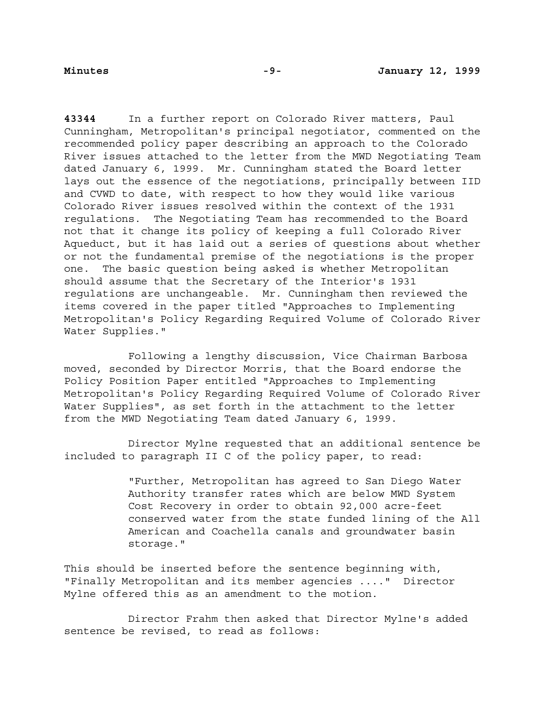**43344** In a further report on Colorado River matters, Paul Cunningham, Metropolitan's principal negotiator, commented on the recommended policy paper describing an approach to the Colorado River issues attached to the letter from the MWD Negotiating Team dated January 6, 1999. Mr. Cunningham stated the Board letter lays out the essence of the negotiations, principally between IID and CVWD to date, with respect to how they would like various Colorado River issues resolved within the context of the 1931 regulations. The Negotiating Team has recommended to the Board not that it change its policy of keeping a full Colorado River Aqueduct, but it has laid out a series of questions about whether or not the fundamental premise of the negotiations is the proper one. The basic question being asked is whether Metropolitan should assume that the Secretary of the Interior's 1931 regulations are unchangeable. Mr. Cunningham then reviewed the items covered in the paper titled "Approaches to Implementing Metropolitan's Policy Regarding Required Volume of Colorado River Water Supplies."

Following a lengthy discussion, Vice Chairman Barbosa moved, seconded by Director Morris, that the Board endorse the Policy Position Paper entitled "Approaches to Implementing Metropolitan's Policy Regarding Required Volume of Colorado River Water Supplies", as set forth in the attachment to the letter from the MWD Negotiating Team dated January 6, 1999.

Director Mylne requested that an additional sentence be included to paragraph II C of the policy paper, to read:

> "Further, Metropolitan has agreed to San Diego Water Authority transfer rates which are below MWD System Cost Recovery in order to obtain 92,000 acre-feet conserved water from the state funded lining of the All American and Coachella canals and groundwater basin storage."

This should be inserted before the sentence beginning with, "Finally Metropolitan and its member agencies ...." Director Mylne offered this as an amendment to the motion.

Director Frahm then asked that Director Mylne's added sentence be revised, to read as follows: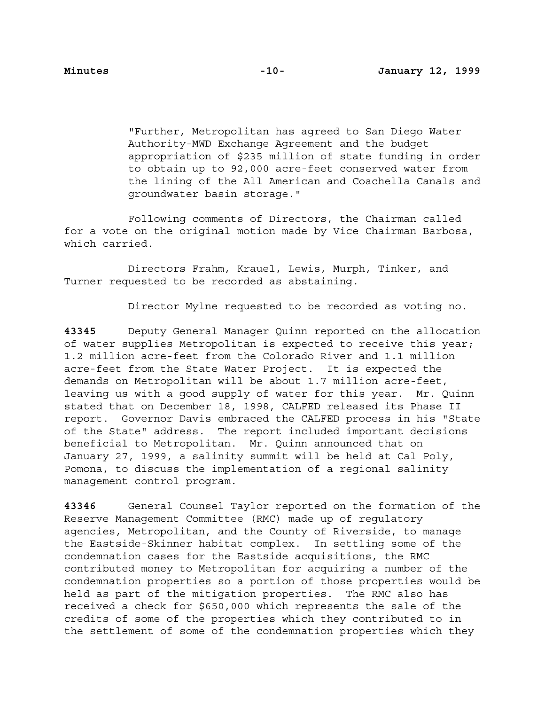"Further, Metropolitan has agreed to San Diego Water Authority-MWD Exchange Agreement and the budget appropriation of \$235 million of state funding in order to obtain up to 92,000 acre-feet conserved water from the lining of the All American and Coachella Canals and groundwater basin storage."

Following comments of Directors, the Chairman called for a vote on the original motion made by Vice Chairman Barbosa, which carried.

Directors Frahm, Krauel, Lewis, Murph, Tinker, and Turner requested to be recorded as abstaining.

Director Mylne requested to be recorded as voting no.

**43345** Deputy General Manager Quinn reported on the allocation of water supplies Metropolitan is expected to receive this year; 1.2 million acre-feet from the Colorado River and 1.1 million acre-feet from the State Water Project. It is expected the demands on Metropolitan will be about 1.7 million acre-feet, leaving us with a good supply of water for this year. Mr. Quinn stated that on December 18, 1998, CALFED released its Phase II report. Governor Davis embraced the CALFED process in his "State of the State" address. The report included important decisions beneficial to Metropolitan. Mr. Quinn announced that on January 27, 1999, a salinity summit will be held at Cal Poly, Pomona, to discuss the implementation of a regional salinity management control program.

**43346** General Counsel Taylor reported on the formation of the Reserve Management Committee (RMC) made up of regulatory agencies, Metropolitan, and the County of Riverside, to manage the Eastside-Skinner habitat complex. In settling some of the condemnation cases for the Eastside acquisitions, the RMC contributed money to Metropolitan for acquiring a number of the condemnation properties so a portion of those properties would be held as part of the mitigation properties. The RMC also has received a check for \$650,000 which represents the sale of the credits of some of the properties which they contributed to in the settlement of some of the condemnation properties which they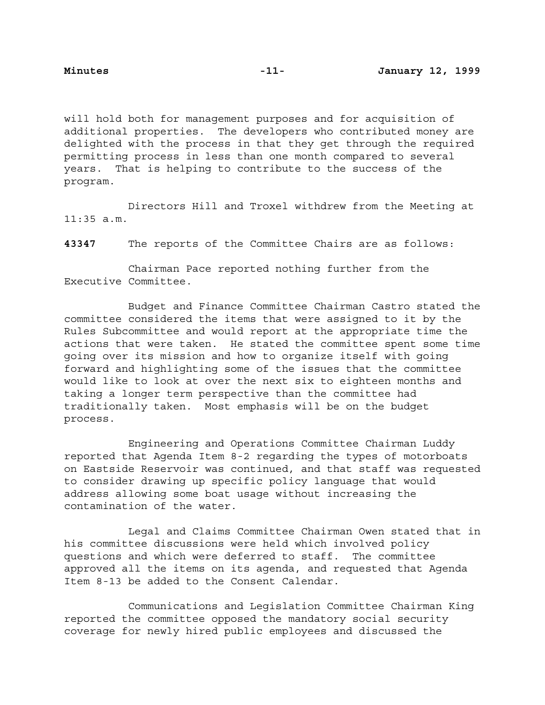will hold both for management purposes and for acquisition of additional properties. The developers who contributed money are delighted with the process in that they get through the required permitting process in less than one month compared to several years. That is helping to contribute to the success of the program.

Directors Hill and Troxel withdrew from the Meeting at 11:35 a.m.

**43347** The reports of the Committee Chairs are as follows:

Chairman Pace reported nothing further from the Executive Committee.

Budget and Finance Committee Chairman Castro stated the committee considered the items that were assigned to it by the Rules Subcommittee and would report at the appropriate time the actions that were taken. He stated the committee spent some time going over its mission and how to organize itself with going forward and highlighting some of the issues that the committee would like to look at over the next six to eighteen months and taking a longer term perspective than the committee had traditionally taken. Most emphasis will be on the budget process.

Engineering and Operations Committee Chairman Luddy reported that Agenda Item 8-2 regarding the types of motorboats on Eastside Reservoir was continued, and that staff was requested to consider drawing up specific policy language that would address allowing some boat usage without increasing the contamination of the water.

Legal and Claims Committee Chairman Owen stated that in his committee discussions were held which involved policy questions and which were deferred to staff. The committee approved all the items on its agenda, and requested that Agenda Item 8-13 be added to the Consent Calendar.

Communications and Legislation Committee Chairman King reported the committee opposed the mandatory social security coverage for newly hired public employees and discussed the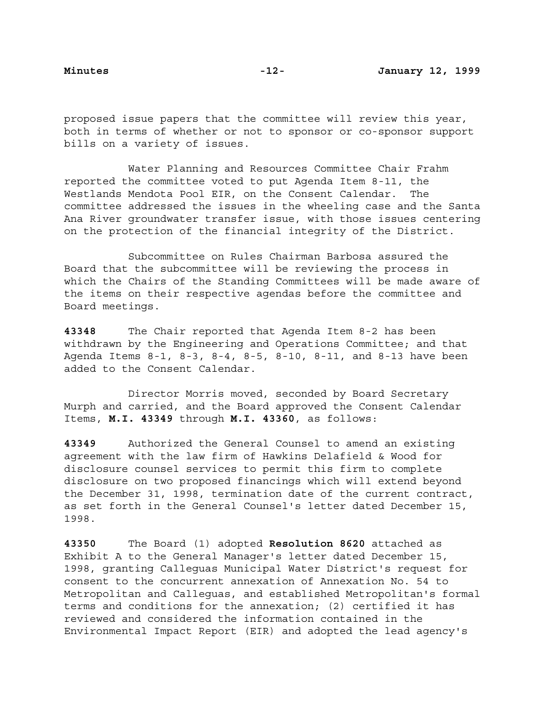proposed issue papers that the committee will review this year, both in terms of whether or not to sponsor or co-sponsor support bills on a variety of issues.

Water Planning and Resources Committee Chair Frahm reported the committee voted to put Agenda Item 8-11, the Westlands Mendota Pool EIR, on the Consent Calendar. The committee addressed the issues in the wheeling case and the Santa Ana River groundwater transfer issue, with those issues centering on the protection of the financial integrity of the District.

Subcommittee on Rules Chairman Barbosa assured the Board that the subcommittee will be reviewing the process in which the Chairs of the Standing Committees will be made aware of the items on their respective agendas before the committee and Board meetings.

**43348** The Chair reported that Agenda Item 8-2 has been withdrawn by the Engineering and Operations Committee; and that Agenda Items 8-1, 8-3, 8-4, 8-5, 8-10, 8-11, and 8-13 have been added to the Consent Calendar.

Director Morris moved, seconded by Board Secretary Murph and carried, and the Board approved the Consent Calendar Items, **M.I. 43349** through **M.I. 43360**, as follows:

**43349** Authorized the General Counsel to amend an existing agreement with the law firm of Hawkins Delafield & Wood for disclosure counsel services to permit this firm to complete disclosure on two proposed financings which will extend beyond the December 31, 1998, termination date of the current contract, as set forth in the General Counsel's letter dated December 15, 1998.

**43350** The Board (1) adopted **Resolution 8620** attached as Exhibit A to the General Manager's letter dated December 15, 1998, granting Calleguas Municipal Water District's request for consent to the concurrent annexation of Annexation No. 54 to Metropolitan and Calleguas, and established Metropolitan's formal terms and conditions for the annexation; (2) certified it has reviewed and considered the information contained in the Environmental Impact Report (EIR) and adopted the lead agency's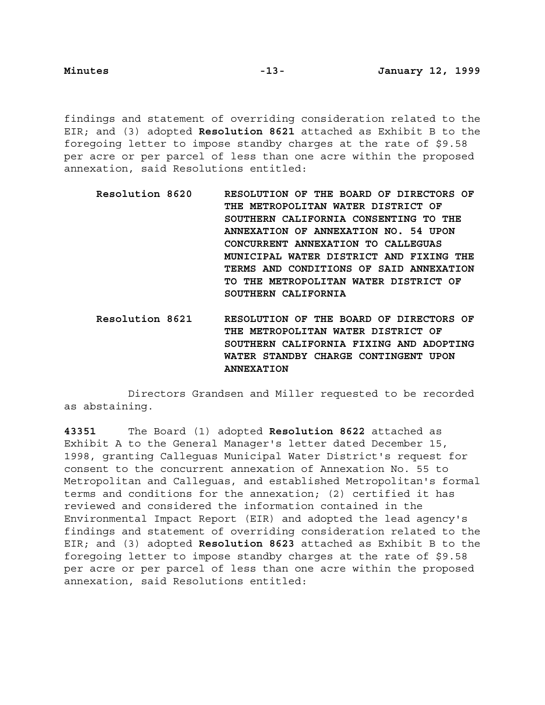findings and statement of overriding consideration related to the EIR; and (3) adopted **Resolution 8621** attached as Exhibit B to the foregoing letter to impose standby charges at the rate of \$9.58 per acre or per parcel of less than one acre within the proposed annexation, said Resolutions entitled:

- **Resolution 8620 RESOLUTION OF THE BOARD OF DIRECTORS OF THE METROPOLITAN WATER DISTRICT OF SOUTHERN CALIFORNIA CONSENTING TO THE ANNEXATION OF ANNEXATION NO. 54 UPON CONCURRENT ANNEXATION TO CALLEGUAS MUNICIPAL WATER DISTRICT AND FIXING THE TERMS AND CONDITIONS OF SAID ANNEXATION TO THE METROPOLITAN WATER DISTRICT OF SOUTHERN CALIFORNIA**
- **Resolution 8621 RESOLUTION OF THE BOARD OF DIRECTORS OF THE METROPOLITAN WATER DISTRICT OF SOUTHERN CALIFORNIA FIXING AND ADOPTING WATER STANDBY CHARGE CONTINGENT UPON ANNEXATION**

Directors Grandsen and Miller requested to be recorded as abstaining.

**43351** The Board (1) adopted **Resolution 8622** attached as Exhibit A to the General Manager's letter dated December 15, 1998, granting Calleguas Municipal Water District's request for consent to the concurrent annexation of Annexation No. 55 to Metropolitan and Calleguas, and established Metropolitan's formal terms and conditions for the annexation; (2) certified it has reviewed and considered the information contained in the Environmental Impact Report (EIR) and adopted the lead agency's findings and statement of overriding consideration related to the EIR; and (3) adopted **Resolution 8623** attached as Exhibit B to the foregoing letter to impose standby charges at the rate of \$9.58 per acre or per parcel of less than one acre within the proposed annexation, said Resolutions entitled: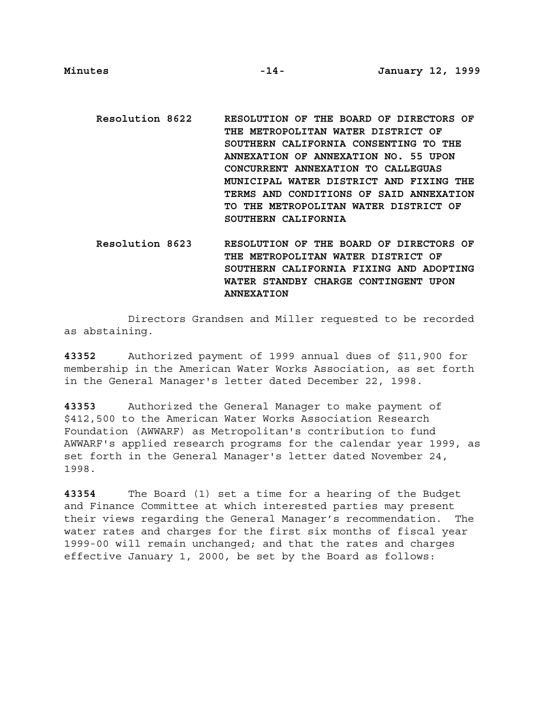- **Resolution 8622 RESOLUTION OF THE BOARD OF DIRECTORS OF THE METROPOLITAN WATER DISTRICT OF SOUTHERN CALIFORNIA CONSENTING TO THE ANNEXATION OF ANNEXATION NO. 55 UPON CONCURRENT ANNEXATION TO CALLEGUAS MUNICIPAL WATER DISTRICT AND FIXING THE TERMS AND CONDITIONS OF SAID ANNEXATION TO THE METROPOLITAN WATER DISTRICT OF SOUTHERN CALIFORNIA**
- **Resolution 8623 RESOLUTION OF THE BOARD OF DIRECTORS OF THE METROPOLITAN WATER DISTRICT OF SOUTHERN CALIFORNIA FIXING AND ADOPTING WATER STANDBY CHARGE CONTINGENT UPON ANNEXATION**

Directors Grandsen and Miller requested to be recorded as abstaining.

**43352** Authorized payment of 1999 annual dues of \$11,900 for membership in the American Water Works Association, as set forth in the General Manager's letter dated December 22, 1998.

**43353** Authorized the General Manager to make payment of \$412,500 to the American Water Works Association Research Foundation (AWWARF) as Metropolitan's contribution to fund AWWARF's applied research programs for the calendar year 1999, as set forth in the General Manager's letter dated November 24, 1998.

**43354** The Board (1) set a time for a hearing of the Budget and Finance Committee at which interested parties may present their views regarding the General Manager's recommendation. The water rates and charges for the first six months of fiscal year 1999-00 will remain unchanged; and that the rates and charges effective January 1, 2000, be set by the Board as follows: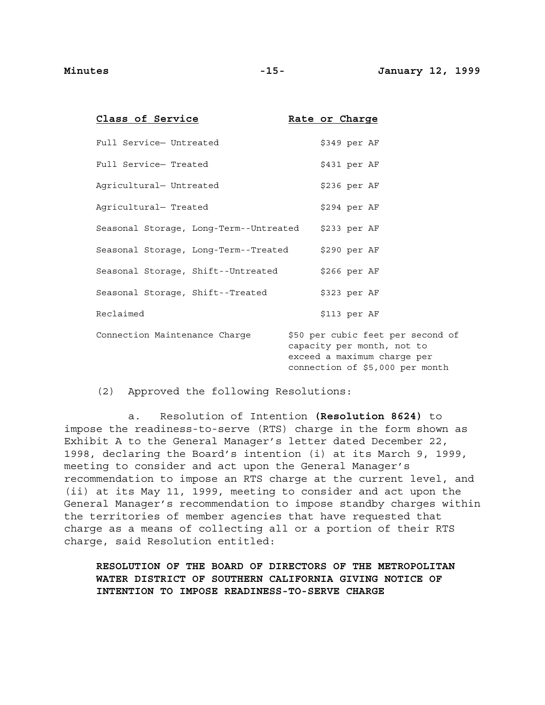| Class of Service                       | Rate or Charge                                                                                                                    |
|----------------------------------------|-----------------------------------------------------------------------------------------------------------------------------------|
| Full Service- Untreated                | \$349 per AF                                                                                                                      |
| Full Service- Treated                  | \$431 per AF                                                                                                                      |
| Agricultural- Untreated                | \$236 per AF                                                                                                                      |
| Agricultural- Treated                  | \$294 per AF                                                                                                                      |
| Seasonal Storage, Long-Term--Untreated | $$233$ per AF                                                                                                                     |
| Seasonal Storage, Long-Term--Treated   | \$290 per AF                                                                                                                      |
| Seasonal Storage, Shift--Untreated     | $$266$ per AF                                                                                                                     |
| Seasonal Storage, Shift--Treated       | \$323 per AF                                                                                                                      |
| Reclaimed                              | \$113 per AF                                                                                                                      |
| Connection Maintenance Charge          | \$50 per cubic feet per second of<br>capacity per month, not to<br>exceed a maximum charge per<br>connection of \$5,000 per month |

(2) Approved the following Resolutions:

a. Resolution of Intention **(Resolution 8624)** to impose the readiness-to-serve (RTS) charge in the form shown as Exhibit A to the General Manager's letter dated December 22, 1998, declaring the Board's intention (i) at its March 9, 1999, meeting to consider and act upon the General Manager's recommendation to impose an RTS charge at the current level, and (ii) at its May 11, 1999, meeting to consider and act upon the General Manager's recommendation to impose standby charges within the territories of member agencies that have requested that charge as a means of collecting all or a portion of their RTS charge, said Resolution entitled:

**RESOLUTION OF THE BOARD OF DIRECTORS OF THE METROPOLITAN WATER DISTRICT OF SOUTHERN CALIFORNIA GIVING NOTICE OF INTENTION TO IMPOSE READINESS-TO-SERVE CHARGE**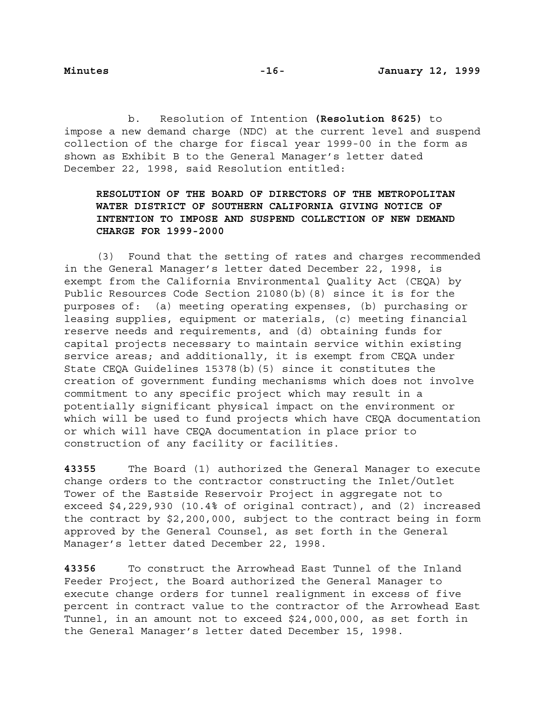b. Resolution of Intention **(Resolution 8625)** to impose a new demand charge (NDC) at the current level and suspend collection of the charge for fiscal year 1999-00 in the form as shown as Exhibit B to the General Manager's letter dated December 22, 1998, said Resolution entitled:

# **RESOLUTION OF THE BOARD OF DIRECTORS OF THE METROPOLITAN WATER DISTRICT OF SOUTHERN CALIFORNIA GIVING NOTICE OF INTENTION TO IMPOSE AND SUSPEND COLLECTION OF NEW DEMAND CHARGE FOR 1999-2000**

(3) Found that the setting of rates and charges recommended in the General Manager's letter dated December 22, 1998, is exempt from the California Environmental Quality Act (CEQA) by Public Resources Code Section 21080(b)(8) since it is for the purposes of: (a) meeting operating expenses, (b) purchasing or leasing supplies, equipment or materials, (c) meeting financial reserve needs and requirements, and (d) obtaining funds for capital projects necessary to maintain service within existing service areas; and additionally, it is exempt from CEQA under State CEQA Guidelines 15378(b)(5) since it constitutes the creation of government funding mechanisms which does not involve commitment to any specific project which may result in a potentially significant physical impact on the environment or which will be used to fund projects which have CEQA documentation or which will have CEQA documentation in place prior to construction of any facility or facilities.

**43355** The Board (1) authorized the General Manager to execute change orders to the contractor constructing the Inlet/Outlet Tower of the Eastside Reservoir Project in aggregate not to exceed \$4,229,930 (10.4% of original contract), and (2) increased the contract by \$2,200,000, subject to the contract being in form approved by the General Counsel, as set forth in the General Manager's letter dated December 22, 1998.

**43356** To construct the Arrowhead East Tunnel of the Inland Feeder Project, the Board authorized the General Manager to execute change orders for tunnel realignment in excess of five percent in contract value to the contractor of the Arrowhead East Tunnel, in an amount not to exceed \$24,000,000, as set forth in the General Manager's letter dated December 15, 1998.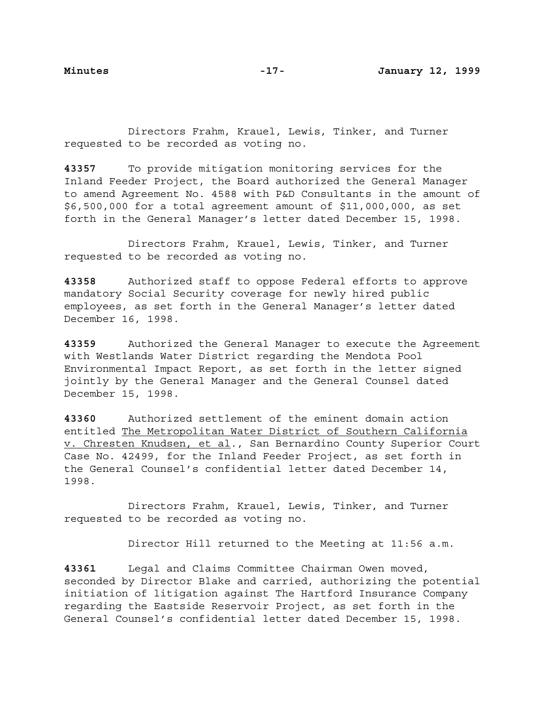Directors Frahm, Krauel, Lewis, Tinker, and Turner requested to be recorded as voting no.

**43357** To provide mitigation monitoring services for the Inland Feeder Project, the Board authorized the General Manager to amend Agreement No. 4588 with P&D Consultants in the amount of \$6,500,000 for a total agreement amount of \$11,000,000, as set forth in the General Manager's letter dated December 15, 1998.

Directors Frahm, Krauel, Lewis, Tinker, and Turner requested to be recorded as voting no.

**43358** Authorized staff to oppose Federal efforts to approve mandatory Social Security coverage for newly hired public employees, as set forth in the General Manager's letter dated December 16, 1998.

**43359** Authorized the General Manager to execute the Agreement with Westlands Water District regarding the Mendota Pool Environmental Impact Report, as set forth in the letter signed jointly by the General Manager and the General Counsel dated December 15, 1998.

**43360** Authorized settlement of the eminent domain action entitled The Metropolitan Water District of Southern California v. Chresten Knudsen, et al., San Bernardino County Superior Court Case No. 42499, for the Inland Feeder Project, as set forth in the General Counsel's confidential letter dated December 14, 1998.

Directors Frahm, Krauel, Lewis, Tinker, and Turner requested to be recorded as voting no.

Director Hill returned to the Meeting at 11:56 a.m.

**43361** Legal and Claims Committee Chairman Owen moved, seconded by Director Blake and carried, authorizing the potential initiation of litigation against The Hartford Insurance Company regarding the Eastside Reservoir Project, as set forth in the General Counsel's confidential letter dated December 15, 1998.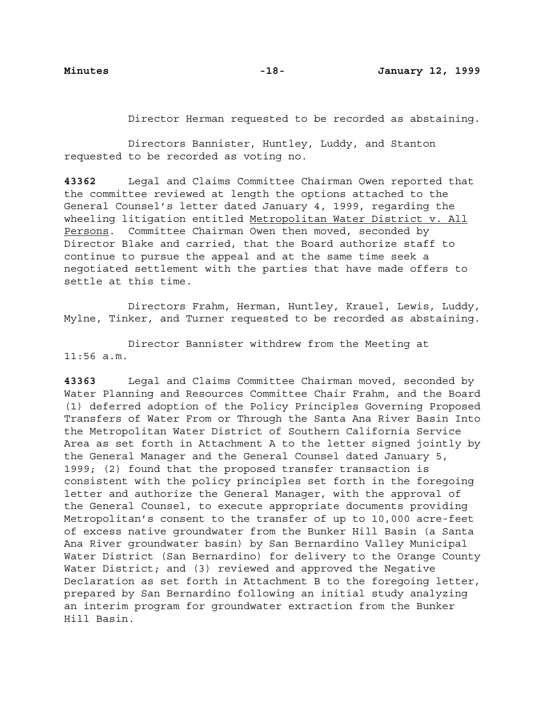Director Herman requested to be recorded as abstaining.

Directors Bannister, Huntley, Luddy, and Stanton requested to be recorded as voting no.

**43362** Legal and Claims Committee Chairman Owen reported that the committee reviewed at length the options attached to the General Counsel's letter dated January 4, 1999, regarding the wheeling litigation entitled Metropolitan Water District v. All Persons. Committee Chairman Owen then moved, seconded by Director Blake and carried, that the Board authorize staff to continue to pursue the appeal and at the same time seek a negotiated settlement with the parties that have made offers to settle at this time.

Directors Frahm, Herman, Huntley, Krauel, Lewis, Luddy, Mylne, Tinker, and Turner requested to be recorded as abstaining.

Director Bannister withdrew from the Meeting at 11:56 a.m.

**43363** Legal and Claims Committee Chairman moved, seconded by Water Planning and Resources Committee Chair Frahm, and the Board (1) deferred adoption of the Policy Principles Governing Proposed Transfers of Water From or Through the Santa Ana River Basin Into the Metropolitan Water District of Southern California Service Area as set forth in Attachment A to the letter signed jointly by the General Manager and the General Counsel dated January 5, 1999; (2) found that the proposed transfer transaction is consistent with the policy principles set forth in the foregoing letter and authorize the General Manager, with the approval of the General Counsel, to execute appropriate documents providing Metropolitan's consent to the transfer of up to 10,000 acre-feet of excess native groundwater from the Bunker Hill Basin (a Santa Ana River groundwater basin) by San Bernardino Valley Municipal Water District (San Bernardino) for delivery to the Orange County Water District; and (3) reviewed and approved the Negative Declaration as set forth in Attachment B to the foregoing letter, prepared by San Bernardino following an initial study analyzing an interim program for groundwater extraction from the Bunker Hill Basin.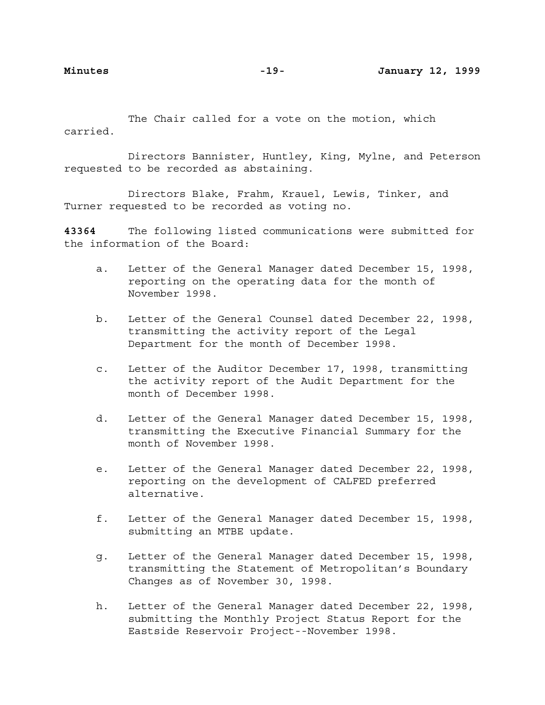The Chair called for a vote on the motion, which carried.

Directors Bannister, Huntley, King, Mylne, and Peterson requested to be recorded as abstaining.

Directors Blake, Frahm, Krauel, Lewis, Tinker, and Turner requested to be recorded as voting no.

**43364** The following listed communications were submitted for the information of the Board:

- a. Letter of the General Manager dated December 15, 1998, reporting on the operating data for the month of November 1998.
- b. Letter of the General Counsel dated December 22, 1998, transmitting the activity report of the Legal Department for the month of December 1998.
- c. Letter of the Auditor December 17, 1998, transmitting the activity report of the Audit Department for the month of December 1998.
- d. Letter of the General Manager dated December 15, 1998, transmitting the Executive Financial Summary for the month of November 1998.
- e. Letter of the General Manager dated December 22, 1998, reporting on the development of CALFED preferred alternative.
- f. Letter of the General Manager dated December 15, 1998, submitting an MTBE update.
- g. Letter of the General Manager dated December 15, 1998, transmitting the Statement of Metropolitan's Boundary Changes as of November 30, 1998.
- h. Letter of the General Manager dated December 22, 1998, submitting the Monthly Project Status Report for the Eastside Reservoir Project--November 1998.